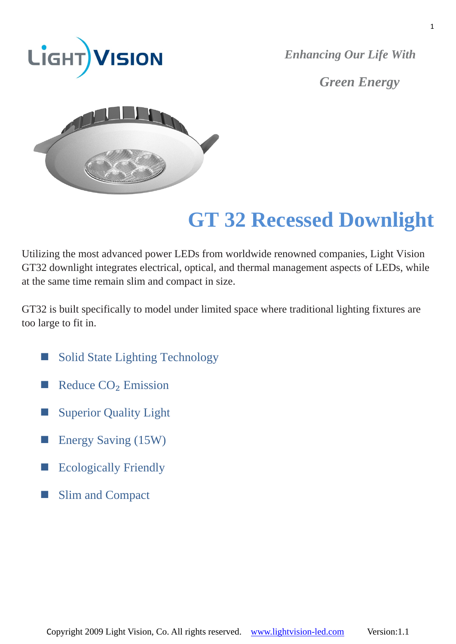

*Enhancing Our Life With Green Energy*



# **GT 32 Recessed Downlight**

Utilizing the most advanced power LEDs from worldwide renowned companies, Light Vision GT32 downlight integrates electrical, optical, and thermal management aspects of LEDs, while at the same time remain slim and compact in size.

GT32 is built specifically to model under limited space where traditional lighting fixtures are too large to fit in.

- Solid State Lighting Technology
- Reduce  $CO<sub>2</sub>$  Emission
- Superior Quality Light
- Energy Saving (15W)
- Ecologically Friendly
- Slim and Compact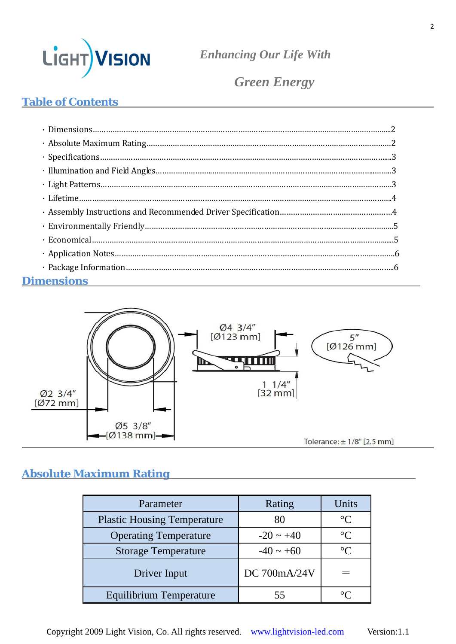

*Green Energy*

## **Table of Contents**

| <b>Dimensions</b><br><u> 1989 - Johann Stoff, deutscher Stoff, der Stoff, der Stoff, der Stoff, der Stoff, der Stoff, der Stoff, der S</u> |  |
|--------------------------------------------------------------------------------------------------------------------------------------------|--|



## **Absolute Maximum Rating**

| Parameter                          | Rating         | Units           |
|------------------------------------|----------------|-----------------|
| <b>Plastic Housing Temperature</b> | 80             | $\rm ^{\circ}C$ |
| <b>Operating Temperature</b>       | $-20 \sim +40$ | $\rm ^{\circ}C$ |
| <b>Storage Temperature</b>         | $-40 \sim +60$ | $^{\circ}C$     |
| Driver Input                       | DC 700mA/24V   |                 |
| Equilibrium Temperature            |                |                 |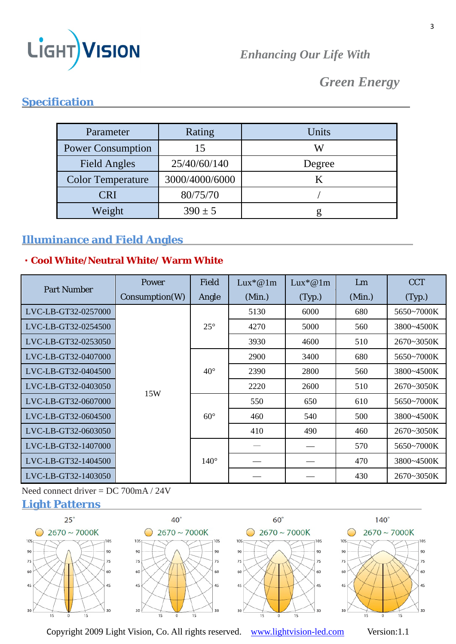

## *Green Energy*

## **Specification**

| Parameter                | Rating         | Units  |
|--------------------------|----------------|--------|
| <b>Power Consumption</b> | 15             |        |
| Field Angles             | 25/40/60/140   | Degree |
| <b>Color Temperature</b> | 3000/4000/6000 |        |
| CRI                      | 80/75/70       |        |
| Weight                   | $390 \pm 5$    |        |

## **Illuminance and Field Angles**

#### **﹡Cool White/Neutral White/ Warm White**

| <b>Part Number</b>  | Power          | <b>Field</b> | $Lux^*@1m$ | $Lux^*@1m$ | Lm     | <b>CCT</b> |            |
|---------------------|----------------|--------------|------------|------------|--------|------------|------------|
|                     | Consumption(W) | Angle        | (Min.)     | (Typ.)     | (Min.) | (Typ.)     |            |
| LVC-LB-GT32-0257000 | 15W            |              | 5130       | 6000       | 680    | 5650~7000K |            |
| LVC-LB-GT32-0254500 |                | $25^{\circ}$ | 4270       | 5000       | 560    | 3800~4500K |            |
| LVC-LB-GT32-0253050 |                |              | 3930       | 4600       | 510    | 2670~3050K |            |
| LVC-LB-GT32-0407000 |                |              | 2900       | 3400       | 680    | 5650~7000K |            |
| LVC-LB-GT32-0404500 |                | $40^{\circ}$ | 2390       | 2800       | 560    | 3800~4500K |            |
| LVC-LB-GT32-0403050 |                |              | 2220       | 2600       | 510    | 2670~3050K |            |
| LVC-LB-GT32-0607000 |                |              |            | 550        | 650    | 610        | 5650~7000K |
| LVC-LB-GT32-0604500 |                | $60^\circ$   | 460        | 540        | 500    | 3800~4500K |            |
| LVC-LB-GT32-0603050 |                |              | 410        | 490        | 460    | 2670~3050K |            |
| LVC-LB-GT32-1407000 |                |              |            |            | 570    | 5650~7000K |            |
| LVC-LB-GT32-1404500 |                | $140^\circ$  |            |            | 470    | 3800~4500K |            |
| LVC-LB-GT32-1403050 |                |              |            |            | 430    | 2670~3050K |            |

Need connect driver = DC 700mA / 24V

## **Light Patterns**



Copyright 2009 Light Vision, Co. All rights reserved. www.lightvision-led.com Version:1.1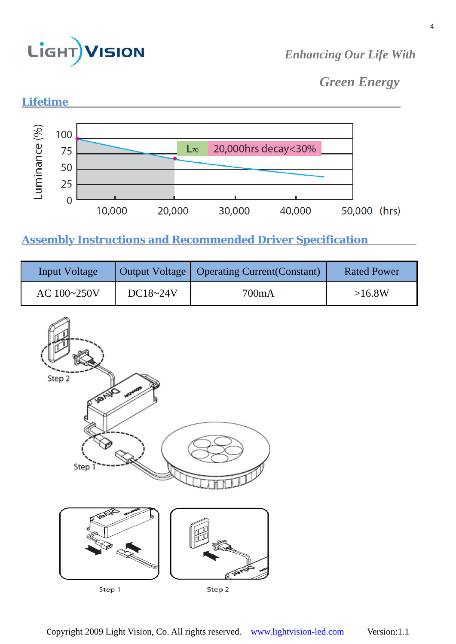

*Green Energy*



## **Assembly Instructions and Recommended Driver Specification**

| Input Voltage |              | Output Voltage   Operating Current (Constant) | <b>Rated Power</b> |
|---------------|--------------|-----------------------------------------------|--------------------|
| AC 100~250V   | $DC18 - 24V$ | 700mA                                         | >16.8W             |

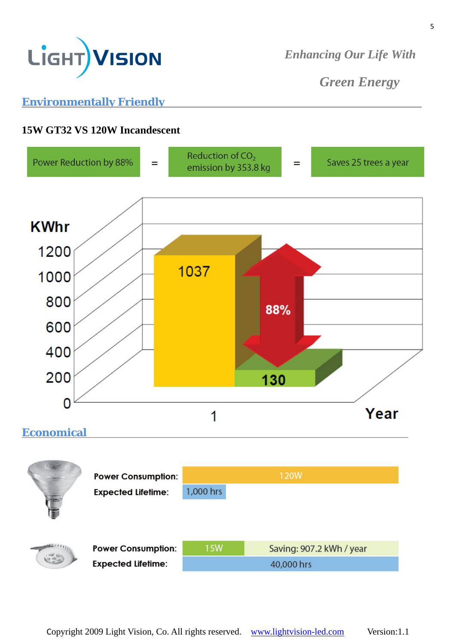

*Green Energy* 

## **Environmentally Friendly**

#### **15W GT32 VS 120W Incandescent**